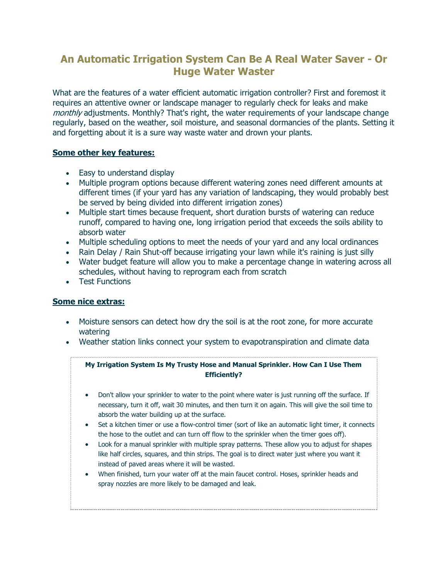# **An Automatic Irrigation System Can Be A Real Water Saver - Or Huge Water Waster**

What are the features of a water efficient automatic irrigation controller? First and foremost it requires an attentive owner or landscape manager to regularly check for leaks and make monthly adjustments. Monthly? That's right, the water requirements of your landscape change regularly, based on the weather, soil moisture, and seasonal dormancies of the plants. Setting it and forgetting about it is a sure way waste water and drown your plants.

## **Some other key features:**

- Easy to understand display
- Multiple program options because different watering zones need different amounts at different times (if your yard has any variation of landscaping, they would probably best be served by being divided into different irrigation zones)
- Multiple start times because frequent, short duration bursts of watering can reduce runoff, compared to having one, long irrigation period that exceeds the soils ability to absorb water
- Multiple scheduling options to meet the needs of your yard and any local ordinances
- Rain Delay / Rain Shut-off because irrigating your lawn while it's raining is just silly
- Water budget feature will allow you to make a percentage change in watering across all schedules, without having to reprogram each from scratch
- Test Functions

## **Some nice extras:**

- Moisture sensors can detect how dry the soil is at the root zone, for more accurate watering
- Weather station links connect your system to evapotranspiration and climate data

## **My Irrigation System Is My Trusty Hose and Manual Sprinkler. How Can I Use Them Efficiently?**

- Don't allow your sprinkler to water to the point where water is just running off the surface. If necessary, turn it off, wait 30 minutes, and then turn it on again. This will give the soil time to absorb the water building up at the surface.
- Set a kitchen timer or use a flow-control timer (sort of like an automatic light timer, it connects the hose to the outlet and can turn off flow to the sprinkler when the timer goes off).
- Look for a manual sprinkler with multiple spray patterns. These allow you to adjust for shapes like half circles, squares, and thin strips. The goal is to direct water just where you want it instead of paved areas where it will be wasted.
- When finished, turn your water off at the main faucet control. Hoses, sprinkler heads and spray nozzles are more likely to be damaged and leak.